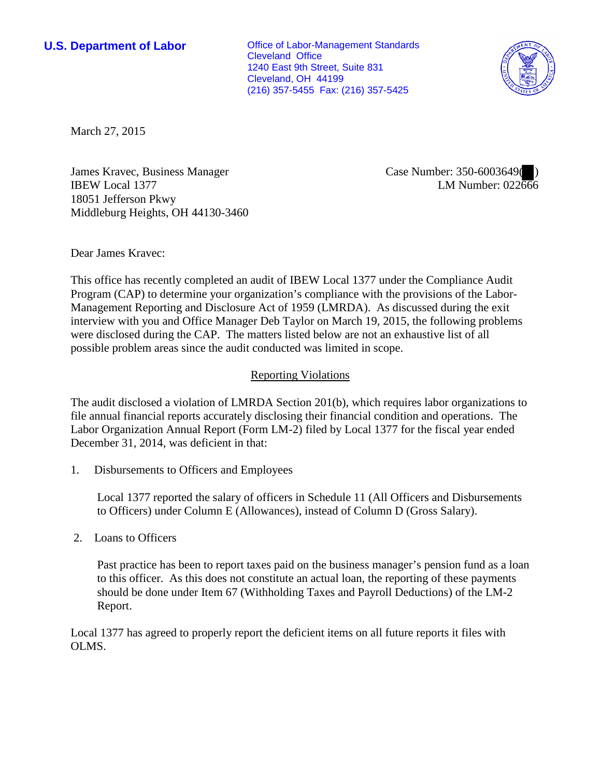**U.S. Department of Labor Conservative Conservative Conservative Conservative Conservative Conservative Conservative Conservative Conservative Conservative Conservative Conservative Conservative Conservative Conservative** Cleveland Office 1240 East 9th Street, Suite 831 Cleveland, OH 44199 (216) 357-5455 Fax: (216) 357-5425



March 27, 2015

James Kravec, Business Manager IBEW Local 1377 18051 Jefferson Pkwy Middleburg Heights, OH 44130-3460 Case Number: 350-6003649( ) LM Number: 022666

Dear James Kravec:

This office has recently completed an audit of IBEW Local 1377 under the Compliance Audit Program (CAP) to determine your organization's compliance with the provisions of the Labor-Management Reporting and Disclosure Act of 1959 (LMRDA). As discussed during the exit interview with you and Office Manager Deb Taylor on March 19, 2015, the following problems were disclosed during the CAP. The matters listed below are not an exhaustive list of all possible problem areas since the audit conducted was limited in scope.

## Reporting Violations

The audit disclosed a violation of LMRDA Section 201(b), which requires labor organizations to file annual financial reports accurately disclosing their financial condition and operations. The Labor Organization Annual Report (Form LM-2) filed by Local 1377 for the fiscal year ended December 31, 2014, was deficient in that:

1. Disbursements to Officers and Employees

Local 1377 reported the salary of officers in Schedule 11 (All Officers and Disbursements to Officers) under Column E (Allowances), instead of Column D (Gross Salary).

2. Loans to Officers

 Past practice has been to report taxes paid on the business manager's pension fund as a loan to this officer. As this does not constitute an actual loan, the reporting of these payments should be done under Item 67 (Withholding Taxes and Payroll Deductions) of the LM-2 Report.

Local 1377 has agreed to properly report the deficient items on all future reports it files with OLMS.